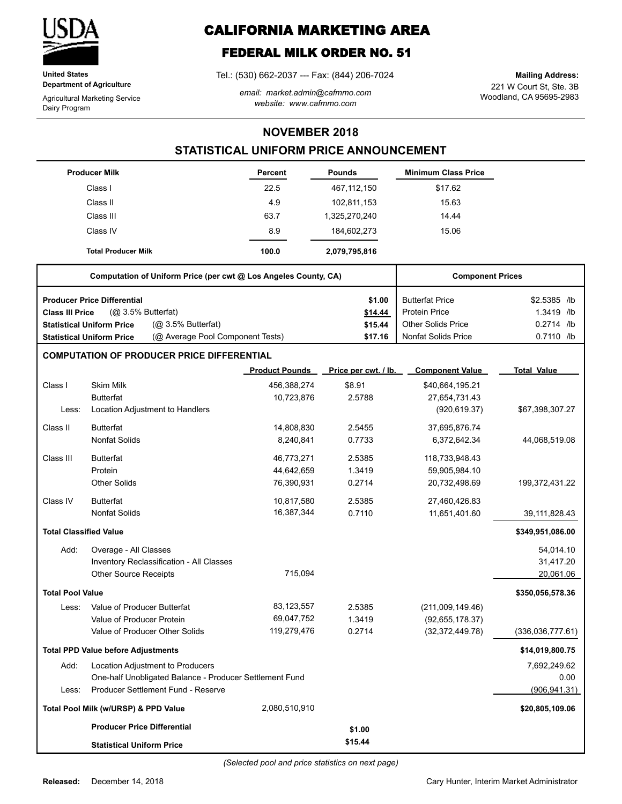

**United States Department of Agriculture**

Agricultural Marketing Service Dairy Program

# **CALIFORNIA MARKETING AREA**

# **FEDERAL MILK ORDER NO. 51**

Tel.: (530) 662-2037 --- Fax: (844) 206-7024

*email: market.admin@cafmmo.com website: www.cafmmo.com*

221 W Court St, Ste. 3B Woodland, CA 95695-2983 **Mailing Address:**

#### **NOVEMBER 2018**

### **STATISTICAL UNIFORM PRICE ANNOUNCEMENT**

|                               | <b>Producer Milk</b>                                                 | Percent               | <b>Pounds</b>        | <b>Minimum Class Price</b> |                    |
|-------------------------------|----------------------------------------------------------------------|-----------------------|----------------------|----------------------------|--------------------|
|                               | Class I                                                              | 22.5                  | 467, 112, 150        | \$17.62                    |                    |
|                               | Class II                                                             | 4.9                   | 102,811,153          | 15.63                      |                    |
|                               | Class III                                                            | 63.7                  | 1,325,270,240        | 14.44                      |                    |
|                               | Class IV                                                             | 8.9                   | 184,602,273          | 15.06                      |                    |
|                               | <b>Total Producer Milk</b>                                           | 100.0                 | 2,079,795,816        |                            |                    |
|                               | Computation of Uniform Price (per cwt @ Los Angeles County, CA)      |                       |                      | <b>Component Prices</b>    |                    |
|                               | <b>Producer Price Differential</b>                                   |                       | \$1.00               | <b>Butterfat Price</b>     | \$2.5385 /lb       |
| <b>Class III Price</b>        | $(Q0 3.5%$ Butterfat)                                                |                       | \$14.44              | <b>Protein Price</b>       | 1.3419 /lb         |
|                               | (Q <sub>2</sub> 3.5% Butterfat)<br><b>Statistical Uniform Price</b>  |                       | \$15.44              | <b>Other Solids Price</b>  | 0.2714 /lb         |
|                               | (@ Average Pool Component Tests)<br><b>Statistical Uniform Price</b> |                       | \$17.16              | <b>Nonfat Solids Price</b> | 0.7110 /lb         |
|                               | <b>COMPUTATION OF PRODUCER PRICE DIFFERENTIAL</b>                    |                       |                      |                            |                    |
|                               |                                                                      | <b>Product Pounds</b> | Price per cwt. / lb. | <b>Component Value</b>     | <b>Total Value</b> |
| Class I                       | <b>Skim Milk</b>                                                     | 456,388,274           | \$8.91               | \$40,664,195.21            |                    |
|                               | <b>Butterfat</b>                                                     | 10,723,876            | 2.5788               | 27,654,731.43              |                    |
| Less:                         | Location Adjustment to Handlers                                      |                       |                      | (920, 619.37)              | \$67,398,307.27    |
| Class II                      | <b>Butterfat</b>                                                     | 14,808,830            | 2.5455               | 37,695,876.74              |                    |
|                               | <b>Nonfat Solids</b>                                                 | 8,240,841             | 0.7733               | 6,372,642.34               | 44,068,519.08      |
| Class III                     | <b>Butterfat</b>                                                     | 46,773,271            | 2.5385               | 118,733,948.43             |                    |
|                               | Protein                                                              | 44,642,659            | 1.3419               | 59,905,984.10              |                    |
|                               | <b>Other Solids</b>                                                  | 76,390,931            | 0.2714               | 20,732,498.69              | 199,372,431.22     |
| Class IV                      | <b>Butterfat</b>                                                     | 10,817,580            | 2.5385               | 27,460,426.83              |                    |
|                               | <b>Nonfat Solids</b>                                                 | 16,387,344            | 0.7110               | 11,651,401.60              | 39,111,828.43      |
| <b>Total Classified Value</b> |                                                                      |                       |                      |                            | \$349,951,086.00   |
| Add:                          | Overage - All Classes                                                |                       |                      |                            | 54,014.10          |
|                               | Inventory Reclassification - All Classes                             |                       |                      |                            | 31,417.20          |
|                               | Other Source Receipts                                                | 715.094               |                      |                            | 20,061.06          |
| <b>Total Pool Value</b>       |                                                                      |                       |                      |                            | \$350,056,578.36   |
| Less:                         | Value of Producer Butterfat                                          | 83,123,557            | 2.5385               | (211,009,149.46)           |                    |
|                               | Value of Producer Protein                                            | 69,047,752            | 1.3419               | (92, 655, 178.37)          |                    |
|                               | Value of Producer Other Solids                                       | 119,279,476           | 0.2714               | (32, 372, 449.78)          | (336,036,777.61)   |
|                               | <b>Total PPD Value before Adjustments</b>                            |                       |                      |                            | \$14,019,800.75    |
| Add:                          | Location Adjustment to Producers                                     |                       |                      |                            | 7,692,249.62       |
|                               | One-half Unobligated Balance - Producer Settlement Fund              |                       |                      |                            | 0.00               |
| Less:                         | Producer Settlement Fund - Reserve                                   |                       |                      |                            | (906, 941.31)      |
|                               | Total Pool Milk (w/URSP) & PPD Value                                 | 2,080,510,910         |                      |                            | \$20,805,109.06    |
|                               | <b>Producer Price Differential</b>                                   |                       | \$1.00               |                            |                    |
|                               | <b>Statistical Uniform Price</b>                                     |                       | \$15.44              |                            |                    |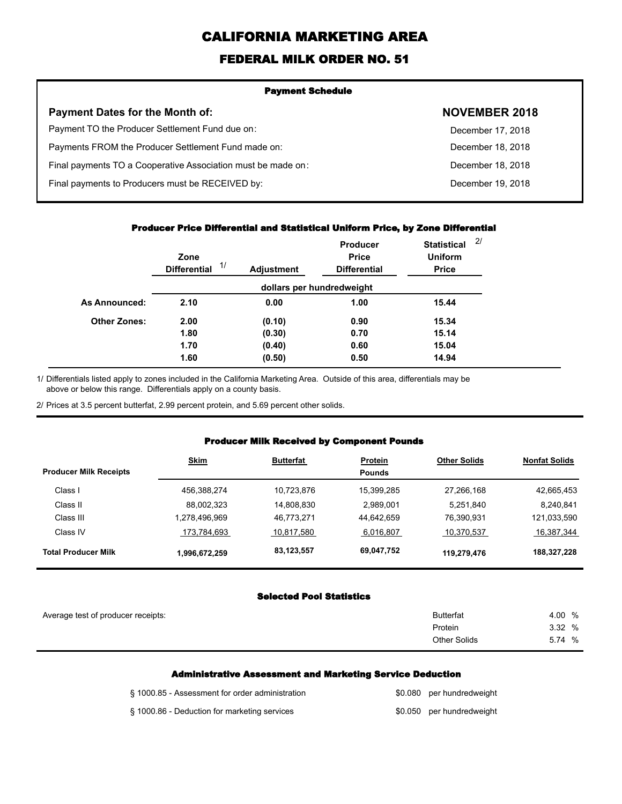# **CALIFORNIA MARKETING AREA**

## **FEDERAL MILK ORDER NO. 51**

| <b>Payment Schedule</b>                                      |                      |
|--------------------------------------------------------------|----------------------|
| <b>Payment Dates for the Month of:</b>                       | <b>NOVEMBER 2018</b> |
| Payment TO the Producer Settlement Fund due on:              | December 17, 2018    |
| Payments FROM the Producer Settlement Fund made on:          | December 18, 2018    |
| Final payments TO a Cooperative Association must be made on: | December 18, 2018    |
| Final payments to Producers must be RECEIVED by:             | December 19, 2018    |
|                                                              |                      |

#### **Producer Price Differential and Statistical Uniform Price, by Zone Differential**

|                     | Zone<br>1/<br><b>Differential</b> | <b>Adjustment</b> | <b>Producer</b><br><b>Price</b><br><b>Differential</b> | <b>Statistical</b><br><b>Uniform</b><br><b>Price</b> | 2/ |
|---------------------|-----------------------------------|-------------------|--------------------------------------------------------|------------------------------------------------------|----|
|                     |                                   |                   | dollars per hundredweight                              |                                                      |    |
| As Announced:       | 2.10                              | 0.00              | 1.00                                                   | 15.44                                                |    |
| <b>Other Zones:</b> | 2.00                              | (0.10)            | 0.90                                                   | 15.34                                                |    |
|                     | 1.80                              | (0.30)            | 0.70                                                   | 15.14                                                |    |
|                     | 1.70                              | (0.40)            | 0.60                                                   | 15.04                                                |    |
|                     | 1.60                              | (0.50)            | 0.50                                                   | 14.94                                                |    |

Differentials listed apply to zones included in the California Marketing Area. Outside of this area, differentials may be above or below this range. Differentials apply on a county basis. 1/

2/ Prices at 3.5 percent butterfat, 2.99 percent protein, and 5.69 percent other solids.

#### **Producer Milk Received by Component Pounds**

| <b>Producer Milk Receipts</b> | <b>Skim</b>   | <b>Butterfat</b> | Protein<br><b>Pounds</b> | <b>Other Solids</b> | <b>Nonfat Solids</b> |
|-------------------------------|---------------|------------------|--------------------------|---------------------|----------------------|
| Class I                       | 456,388,274   | 10.723.876       | 15.399.285               | 27,266,168          | 42,665,453           |
| Class II                      | 88,002,323    | 14.808.830       | 2.989.001                | 5,251,840           | 8.240.841            |
| Class III                     | 1.278.496.969 | 46.773.271       | 44.642.659               | 76,390,931          | 121,033,590          |
| Class IV                      | 173,784,693   | 10,817,580       | 6,016,807                | 10,370,537          | 16,387,344           |
| <b>Total Producer Milk</b>    | 1,996,672,259 | 83,123,557       | 69,047,752               | 119,279,476         | 188,327,228          |

#### **Selected Pool Statistics**

| Average test of producer receipts: | <b>Butterfat</b>    | 4.00 %       |
|------------------------------------|---------------------|--------------|
|                                    | Protein             | 3.32 %       |
|                                    | <b>Other Solids</b> | 5.74<br>$\%$ |
|                                    |                     |              |

#### **Administrative Assessment and Marketing Service Deduction**

| § 1000.85 - Assessment for order administration | \$0.080 per hundredweight |
|-------------------------------------------------|---------------------------|
| § 1000.86 - Deduction for marketing services    | \$0.050 per hundredweight |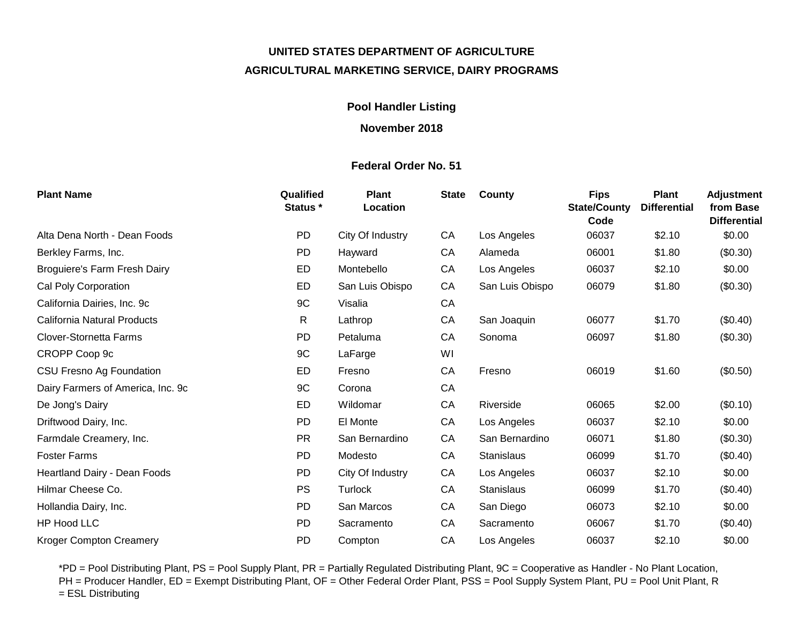# **UNITED STATES DEPARTMENT OF AGRICULTURE AGRICULTURAL MARKETING SERVICE, DAIRY PROGRAMS**

## **Pool Handler Listing**

### **November 2018**

### **Federal Order No. 51**

| <b>Plant Name</b>                   | Qualified<br>Status * | <b>Plant</b><br>Location | <b>State</b> | County            | <b>Fips</b><br><b>State/County</b><br>Code | <b>Plant</b><br><b>Differential</b> | <b>Adjustment</b><br>from Base<br><b>Differential</b> |
|-------------------------------------|-----------------------|--------------------------|--------------|-------------------|--------------------------------------------|-------------------------------------|-------------------------------------------------------|
| Alta Dena North - Dean Foods        | <b>PD</b>             | City Of Industry         | CA           | Los Angeles       | 06037                                      | \$2.10                              | \$0.00                                                |
| Berkley Farms, Inc.                 | <b>PD</b>             | Hayward                  | CA           | Alameda           | 06001                                      | \$1.80                              | (\$0.30)                                              |
| <b>Broguiere's Farm Fresh Dairy</b> | ED                    | Montebello               | CA           | Los Angeles       | 06037                                      | \$2.10                              | \$0.00                                                |
| Cal Poly Corporation                | ED                    | San Luis Obispo          | CA           | San Luis Obispo   | 06079                                      | \$1.80                              | (\$0.30)                                              |
| California Dairies, Inc. 9c         | 9C                    | Visalia                  | CA           |                   |                                            |                                     |                                                       |
| California Natural Products         | R                     | Lathrop                  | CA           | San Joaquin       | 06077                                      | \$1.70                              | (\$0.40)                                              |
| <b>Clover-Stornetta Farms</b>       | PD                    | Petaluma                 | CA           | Sonoma            | 06097                                      | \$1.80                              | (\$0.30)                                              |
| CROPP Coop 9c                       | 9C                    | LaFarge                  | WI           |                   |                                            |                                     |                                                       |
| CSU Fresno Ag Foundation            | ED                    | Fresno                   | CA           | Fresno            | 06019                                      | \$1.60                              | (\$0.50)                                              |
| Dairy Farmers of America, Inc. 9c   | 9C                    | Corona                   | CA           |                   |                                            |                                     |                                                       |
| De Jong's Dairy                     | ED                    | Wildomar                 | CA           | Riverside         | 06065                                      | \$2.00                              | (\$0.10)                                              |
| Driftwood Dairy, Inc.               | <b>PD</b>             | El Monte                 | CA           | Los Angeles       | 06037                                      | \$2.10                              | \$0.00                                                |
| Farmdale Creamery, Inc.             | <b>PR</b>             | San Bernardino           | CA           | San Bernardino    | 06071                                      | \$1.80                              | (\$0.30)                                              |
| <b>Foster Farms</b>                 | PD                    | Modesto                  | CA           | Stanislaus        | 06099                                      | \$1.70                              | (\$0.40)                                              |
| Heartland Dairy - Dean Foods        | <b>PD</b>             | City Of Industry         | CA           | Los Angeles       | 06037                                      | \$2.10                              | \$0.00                                                |
| Hilmar Cheese Co.                   | <b>PS</b>             | Turlock                  | CA           | <b>Stanislaus</b> | 06099                                      | \$1.70                              | (\$0.40)                                              |
| Hollandia Dairy, Inc.               | <b>PD</b>             | San Marcos               | CA           | San Diego         | 06073                                      | \$2.10                              | \$0.00                                                |
| HP Hood LLC                         | PD                    | Sacramento               | CA           | Sacramento        | 06067                                      | \$1.70                              | (\$0.40)                                              |
| <b>Kroger Compton Creamery</b>      | PD                    | Compton                  | CA           | Los Angeles       | 06037                                      | \$2.10                              | \$0.00                                                |

\*PD = Pool Distributing Plant, PS = Pool Supply Plant, PR = Partially Regulated Distributing Plant, 9C = Cooperative as Handler - No Plant Location, PH = Producer Handler, ED = Exempt Distributing Plant, OF = Other Federal Order Plant, PSS = Pool Supply System Plant, PU = Pool Unit Plant, R = ESL Distributing